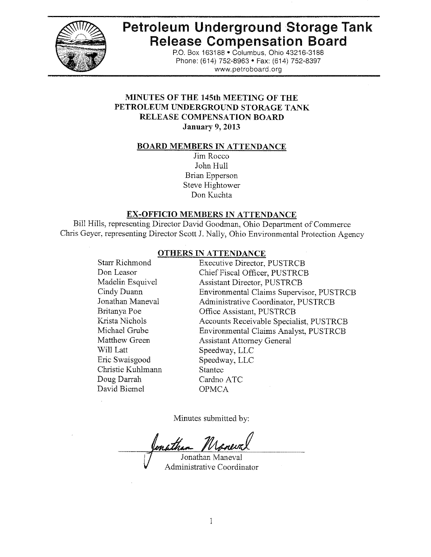

# **Petroleum Underground Storage Tank Release Compensation Board**

P.O. Box 163188 . Columbus, Ohio 43216-3188 Phone: (614) 752-8963 · Fax: (614) 752-8397 www.petroboard.org

## **MINUTES OF THE 145th MEETING OF THE** PETROLEUM UNDERGROUND STORAGE TANK **RELEASE COMPENSATION BOARD January 9, 2013**

#### **BOARD MEMBERS IN ATTENDANCE**

Jim Rocco John Hull Brian Epperson Steve Hightower Don Kuchta

#### **EX-OFFICIO MEMBERS IN ATTENDANCE**

Bill Hills, representing Director David Goodman, Ohio Department of Commerce Chris Geyer, representing Director Scott J. Nally, Ohio Environmental Protection Agency

#### **OTHERS IN ATTENDANCE**

**Starr Richmond Executive Director, PUSTRCB** Don Leasor Chief Fiscal Officer, PUSTRCB Madelin Esquivel **Assistant Director, PUSTRCB** Cindy Duann Environmental Claims Supervisor, PUSTRCB Jonathan Maneval Administrative Coordinator, PUSTRCB Britanya Poe Office Assistant, PUSTRCB Krista Nichols Accounts Receivable Specialist, PUSTRCB Michael Grube Environmental Claims Analyst, PUSTRCB Matthew Green **Assistant Attorney General** Will Latt Speedway, LLC Eric Swaisgood Speedway, LLC Christie Kuhlmann Stantec Doug Darrah Cardno ATC David Biemel **OPMCA** 

Minutes submitted by:

Jonathan Maneval Administrative Coordinator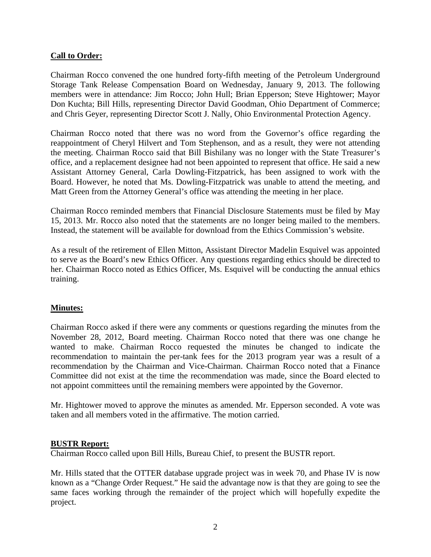## **Call to Order:**

Chairman Rocco convened the one hundred forty-fifth meeting of the Petroleum Underground Storage Tank Release Compensation Board on Wednesday, January 9, 2013. The following members were in attendance: Jim Rocco; John Hull; Brian Epperson; Steve Hightower; Mayor Don Kuchta; Bill Hills, representing Director David Goodman, Ohio Department of Commerce; and Chris Geyer, representing Director Scott J. Nally, Ohio Environmental Protection Agency.

Chairman Rocco noted that there was no word from the Governor's office regarding the reappointment of Cheryl Hilvert and Tom Stephenson, and as a result, they were not attending the meeting. Chairman Rocco said that Bill Bishilany was no longer with the State Treasurer's office, and a replacement designee had not been appointed to represent that office. He said a new Assistant Attorney General, Carla Dowling-Fitzpatrick, has been assigned to work with the Board. However, he noted that Ms. Dowling-Fitzpatrick was unable to attend the meeting, and Matt Green from the Attorney General's office was attending the meeting in her place.

Chairman Rocco reminded members that Financial Disclosure Statements must be filed by May 15, 2013. Mr. Rocco also noted that the statements are no longer being mailed to the members. Instead, the statement will be available for download from the Ethics Commission's website.

As a result of the retirement of Ellen Mitton, Assistant Director Madelin Esquivel was appointed to serve as the Board's new Ethics Officer. Any questions regarding ethics should be directed to her. Chairman Rocco noted as Ethics Officer, Ms. Esquivel will be conducting the annual ethics training.

## **Minutes:**

Chairman Rocco asked if there were any comments or questions regarding the minutes from the November 28, 2012, Board meeting. Chairman Rocco noted that there was one change he wanted to make. Chairman Rocco requested the minutes be changed to indicate the recommendation to maintain the per-tank fees for the 2013 program year was a result of a recommendation by the Chairman and Vice-Chairman. Chairman Rocco noted that a Finance Committee did not exist at the time the recommendation was made, since the Board elected to not appoint committees until the remaining members were appointed by the Governor.

Mr. Hightower moved to approve the minutes as amended. Mr. Epperson seconded. A vote was taken and all members voted in the affirmative. The motion carried.

#### **BUSTR Report:**

Chairman Rocco called upon Bill Hills, Bureau Chief, to present the BUSTR report.

Mr. Hills stated that the OTTER database upgrade project was in week 70, and Phase IV is now known as a "Change Order Request." He said the advantage now is that they are going to see the same faces working through the remainder of the project which will hopefully expedite the project.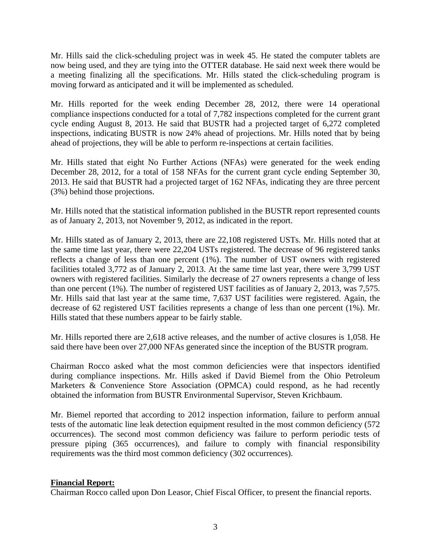Mr. Hills said the click-scheduling project was in week 45. He stated the computer tablets are now being used, and they are tying into the OTTER database. He said next week there would be a meeting finalizing all the specifications. Mr. Hills stated the click-scheduling program is moving forward as anticipated and it will be implemented as scheduled.

Mr. Hills reported for the week ending December 28, 2012, there were 14 operational compliance inspections conducted for a total of 7,782 inspections completed for the current grant cycle ending August 8, 2013. He said that BUSTR had a projected target of 6,272 completed inspections, indicating BUSTR is now 24% ahead of projections. Mr. Hills noted that by being ahead of projections, they will be able to perform re-inspections at certain facilities.

Mr. Hills stated that eight No Further Actions (NFAs) were generated for the week ending December 28, 2012, for a total of 158 NFAs for the current grant cycle ending September 30, 2013. He said that BUSTR had a projected target of 162 NFAs, indicating they are three percent (3%) behind those projections.

Mr. Hills noted that the statistical information published in the BUSTR report represented counts as of January 2, 2013, not November 9, 2012, as indicated in the report.

Mr. Hills stated as of January 2, 2013, there are 22,108 registered USTs. Mr. Hills noted that at the same time last year, there were 22,204 USTs registered. The decrease of 96 registered tanks reflects a change of less than one percent (1%). The number of UST owners with registered facilities totaled 3,772 as of January 2, 2013. At the same time last year, there were 3,799 UST owners with registered facilities. Similarly the decrease of 27 owners represents a change of less than one percent (1%). The number of registered UST facilities as of January 2, 2013, was 7,575. Mr. Hills said that last year at the same time, 7,637 UST facilities were registered. Again, the decrease of 62 registered UST facilities represents a change of less than one percent (1%). Mr. Hills stated that these numbers appear to be fairly stable.

Mr. Hills reported there are 2,618 active releases, and the number of active closures is 1,058. He said there have been over 27,000 NFAs generated since the inception of the BUSTR program.

Chairman Rocco asked what the most common deficiencies were that inspectors identified during compliance inspections. Mr. Hills asked if David Biemel from the Ohio Petroleum Marketers & Convenience Store Association (OPMCA) could respond, as he had recently obtained the information from BUSTR Environmental Supervisor, Steven Krichbaum.

Mr. Biemel reported that according to 2012 inspection information, failure to perform annual tests of the automatic line leak detection equipment resulted in the most common deficiency (572 occurrences). The second most common deficiency was failure to perform periodic tests of pressure piping (365 occurrences), and failure to comply with financial responsibility requirements was the third most common deficiency (302 occurrences).

## **Financial Report:**

Chairman Rocco called upon Don Leasor, Chief Fiscal Officer, to present the financial reports.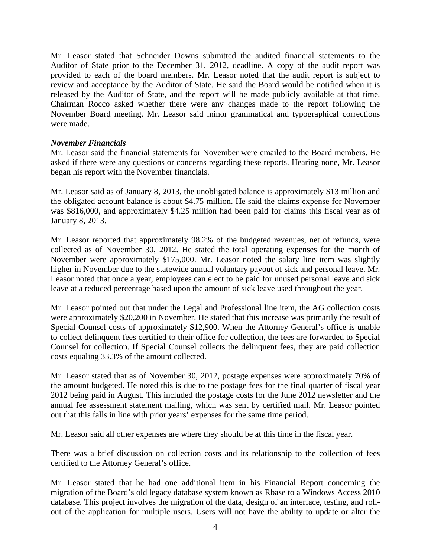Mr. Leasor stated that Schneider Downs submitted the audited financial statements to the Auditor of State prior to the December 31, 2012, deadline. A copy of the audit report was provided to each of the board members. Mr. Leasor noted that the audit report is subject to review and acceptance by the Auditor of State. He said the Board would be notified when it is released by the Auditor of State, and the report will be made publicly available at that time. Chairman Rocco asked whether there were any changes made to the report following the November Board meeting. Mr. Leasor said minor grammatical and typographical corrections were made.

#### *November Financials*

Mr. Leasor said the financial statements for November were emailed to the Board members. He asked if there were any questions or concerns regarding these reports. Hearing none, Mr. Leasor began his report with the November financials.

Mr. Leasor said as of January 8, 2013, the unobligated balance is approximately \$13 million and the obligated account balance is about \$4.75 million. He said the claims expense for November was \$816,000, and approximately \$4.25 million had been paid for claims this fiscal year as of January 8, 2013.

Mr. Leasor reported that approximately 98.2% of the budgeted revenues, net of refunds, were collected as of November 30, 2012. He stated the total operating expenses for the month of November were approximately \$175,000. Mr. Leasor noted the salary line item was slightly higher in November due to the statewide annual voluntary payout of sick and personal leave. Mr. Leasor noted that once a year, employees can elect to be paid for unused personal leave and sick leave at a reduced percentage based upon the amount of sick leave used throughout the year.

Mr. Leasor pointed out that under the Legal and Professional line item, the AG collection costs were approximately \$20,200 in November. He stated that this increase was primarily the result of Special Counsel costs of approximately \$12,900. When the Attorney General's office is unable to collect delinquent fees certified to their office for collection, the fees are forwarded to Special Counsel for collection. If Special Counsel collects the delinquent fees, they are paid collection costs equaling 33.3% of the amount collected.

Mr. Leasor stated that as of November 30, 2012, postage expenses were approximately 70% of the amount budgeted. He noted this is due to the postage fees for the final quarter of fiscal year 2012 being paid in August. This included the postage costs for the June 2012 newsletter and the annual fee assessment statement mailing, which was sent by certified mail. Mr. Leasor pointed out that this falls in line with prior years' expenses for the same time period.

Mr. Leasor said all other expenses are where they should be at this time in the fiscal year.

There was a brief discussion on collection costs and its relationship to the collection of fees certified to the Attorney General's office.

Mr. Leasor stated that he had one additional item in his Financial Report concerning the migration of the Board's old legacy database system known as Rbase to a Windows Access 2010 database. This project involves the migration of the data, design of an interface, testing, and rollout of the application for multiple users. Users will not have the ability to update or alter the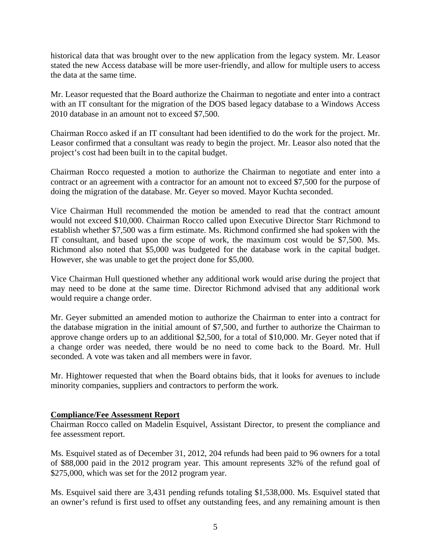historical data that was brought over to the new application from the legacy system. Mr. Leasor stated the new Access database will be more user-friendly, and allow for multiple users to access the data at the same time.

Mr. Leasor requested that the Board authorize the Chairman to negotiate and enter into a contract with an IT consultant for the migration of the DOS based legacy database to a Windows Access 2010 database in an amount not to exceed \$7,500.

Chairman Rocco asked if an IT consultant had been identified to do the work for the project. Mr. Leasor confirmed that a consultant was ready to begin the project. Mr. Leasor also noted that the project's cost had been built in to the capital budget.

Chairman Rocco requested a motion to authorize the Chairman to negotiate and enter into a contract or an agreement with a contractor for an amount not to exceed \$7,500 for the purpose of doing the migration of the database. Mr. Geyer so moved. Mayor Kuchta seconded.

Vice Chairman Hull recommended the motion be amended to read that the contract amount would not exceed \$10,000. Chairman Rocco called upon Executive Director Starr Richmond to establish whether \$7,500 was a firm estimate. Ms. Richmond confirmed she had spoken with the IT consultant, and based upon the scope of work, the maximum cost would be \$7,500. Ms. Richmond also noted that \$5,000 was budgeted for the database work in the capital budget. However, she was unable to get the project done for \$5,000.

Vice Chairman Hull questioned whether any additional work would arise during the project that may need to be done at the same time. Director Richmond advised that any additional work would require a change order.

Mr. Geyer submitted an amended motion to authorize the Chairman to enter into a contract for the database migration in the initial amount of \$7,500, and further to authorize the Chairman to approve change orders up to an additional \$2,500, for a total of \$10,000. Mr. Geyer noted that if a change order was needed, there would be no need to come back to the Board. Mr. Hull seconded. A vote was taken and all members were in favor.

Mr. Hightower requested that when the Board obtains bids, that it looks for avenues to include minority companies, suppliers and contractors to perform the work.

#### **Compliance/Fee Assessment Report**

Chairman Rocco called on Madelin Esquivel, Assistant Director, to present the compliance and fee assessment report.

Ms. Esquivel stated as of December 31, 2012, 204 refunds had been paid to 96 owners for a total of \$88,000 paid in the 2012 program year. This amount represents 32% of the refund goal of \$275,000, which was set for the 2012 program year.

Ms. Esquivel said there are 3,431 pending refunds totaling \$1,538,000. Ms. Esquivel stated that an owner's refund is first used to offset any outstanding fees, and any remaining amount is then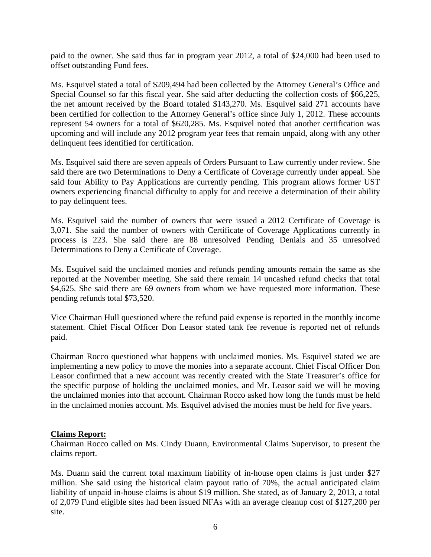paid to the owner. She said thus far in program year 2012, a total of \$24,000 had been used to offset outstanding Fund fees.

Ms. Esquivel stated a total of \$209,494 had been collected by the Attorney General's Office and Special Counsel so far this fiscal year. She said after deducting the collection costs of \$66,225, the net amount received by the Board totaled \$143,270. Ms. Esquivel said 271 accounts have been certified for collection to the Attorney General's office since July 1, 2012. These accounts represent 54 owners for a total of \$620,285. Ms. Esquivel noted that another certification was upcoming and will include any 2012 program year fees that remain unpaid, along with any other delinquent fees identified for certification.

Ms. Esquivel said there are seven appeals of Orders Pursuant to Law currently under review. She said there are two Determinations to Deny a Certificate of Coverage currently under appeal. She said four Ability to Pay Applications are currently pending. This program allows former UST owners experiencing financial difficulty to apply for and receive a determination of their ability to pay delinquent fees.

Ms. Esquivel said the number of owners that were issued a 2012 Certificate of Coverage is 3,071. She said the number of owners with Certificate of Coverage Applications currently in process is 223. She said there are 88 unresolved Pending Denials and 35 unresolved Determinations to Deny a Certificate of Coverage.

Ms. Esquivel said the unclaimed monies and refunds pending amounts remain the same as she reported at the November meeting. She said there remain 14 uncashed refund checks that total \$4,625. She said there are 69 owners from whom we have requested more information. These pending refunds total \$73,520.

Vice Chairman Hull questioned where the refund paid expense is reported in the monthly income statement. Chief Fiscal Officer Don Leasor stated tank fee revenue is reported net of refunds paid.

Chairman Rocco questioned what happens with unclaimed monies. Ms. Esquivel stated we are implementing a new policy to move the monies into a separate account. Chief Fiscal Officer Don Leasor confirmed that a new account was recently created with the State Treasurer's office for the specific purpose of holding the unclaimed monies, and Mr. Leasor said we will be moving the unclaimed monies into that account. Chairman Rocco asked how long the funds must be held in the unclaimed monies account. Ms. Esquivel advised the monies must be held for five years.

## **Claims Report:**

Chairman Rocco called on Ms. Cindy Duann, Environmental Claims Supervisor, to present the claims report.

Ms. Duann said the current total maximum liability of in-house open claims is just under \$27 million. She said using the historical claim payout ratio of 70%, the actual anticipated claim liability of unpaid in-house claims is about \$19 million. She stated, as of January 2, 2013, a total of 2,079 Fund eligible sites had been issued NFAs with an average cleanup cost of \$127,200 per site.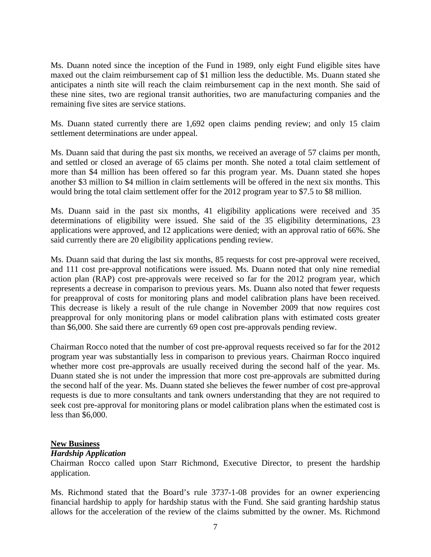Ms. Duann noted since the inception of the Fund in 1989, only eight Fund eligible sites have maxed out the claim reimbursement cap of \$1 million less the deductible. Ms. Duann stated she anticipates a ninth site will reach the claim reimbursement cap in the next month. She said of these nine sites, two are regional transit authorities, two are manufacturing companies and the remaining five sites are service stations.

Ms. Duann stated currently there are 1,692 open claims pending review; and only 15 claim settlement determinations are under appeal.

Ms. Duann said that during the past six months, we received an average of 57 claims per month, and settled or closed an average of 65 claims per month. She noted a total claim settlement of more than \$4 million has been offered so far this program year. Ms. Duann stated she hopes another \$3 million to \$4 million in claim settlements will be offered in the next six months. This would bring the total claim settlement offer for the 2012 program year to \$7.5 to \$8 million.

Ms. Duann said in the past six months, 41 eligibility applications were received and 35 determinations of eligibility were issued. She said of the 35 eligibility determinations, 23 applications were approved, and 12 applications were denied; with an approval ratio of 66%. She said currently there are 20 eligibility applications pending review.

Ms. Duann said that during the last six months, 85 requests for cost pre-approval were received, and 111 cost pre-approval notifications were issued. Ms. Duann noted that only nine remedial action plan (RAP) cost pre-approvals were received so far for the 2012 program year, which represents a decrease in comparison to previous years. Ms. Duann also noted that fewer requests for preapproval of costs for monitoring plans and model calibration plans have been received. This decrease is likely a result of the rule change in November 2009 that now requires cost preapproval for only monitoring plans or model calibration plans with estimated costs greater than \$6,000. She said there are currently 69 open cost pre-approvals pending review.

Chairman Rocco noted that the number of cost pre-approval requests received so far for the 2012 program year was substantially less in comparison to previous years. Chairman Rocco inquired whether more cost pre-approvals are usually received during the second half of the year. Ms. Duann stated she is not under the impression that more cost pre-approvals are submitted during the second half of the year. Ms. Duann stated she believes the fewer number of cost pre-approval requests is due to more consultants and tank owners understanding that they are not required to seek cost pre-approval for monitoring plans or model calibration plans when the estimated cost is less than \$6,000.

#### **New Business**

#### *Hardship Application*

Chairman Rocco called upon Starr Richmond, Executive Director, to present the hardship application.

Ms. Richmond stated that the Board's rule 3737-1-08 provides for an owner experiencing financial hardship to apply for hardship status with the Fund. She said granting hardship status allows for the acceleration of the review of the claims submitted by the owner. Ms. Richmond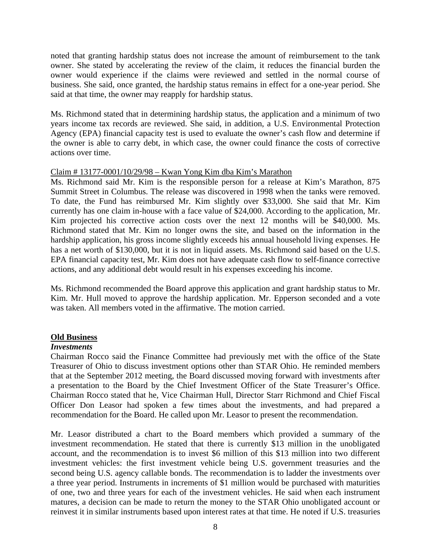noted that granting hardship status does not increase the amount of reimbursement to the tank owner. She stated by accelerating the review of the claim, it reduces the financial burden the owner would experience if the claims were reviewed and settled in the normal course of business. She said, once granted, the hardship status remains in effect for a one-year period. She said at that time, the owner may reapply for hardship status.

Ms. Richmond stated that in determining hardship status, the application and a minimum of two years income tax records are reviewed. She said, in addition, a U.S. Environmental Protection Agency (EPA) financial capacity test is used to evaluate the owner's cash flow and determine if the owner is able to carry debt, in which case, the owner could finance the costs of corrective actions over time.

### Claim # 13177-0001/10/29/98 – Kwan Yong Kim dba Kim's Marathon

Ms. Richmond said Mr. Kim is the responsible person for a release at Kim's Marathon, 875 Summit Street in Columbus. The release was discovered in 1998 when the tanks were removed. To date, the Fund has reimbursed Mr. Kim slightly over \$33,000. She said that Mr. Kim currently has one claim in-house with a face value of \$24,000. According to the application, Mr. Kim projected his corrective action costs over the next 12 months will be \$40,000. Ms. Richmond stated that Mr. Kim no longer owns the site, and based on the information in the hardship application, his gross income slightly exceeds his annual household living expenses. He has a net worth of \$130,000, but it is not in liquid assets. Ms. Richmond said based on the U.S. EPA financial capacity test, Mr. Kim does not have adequate cash flow to self-finance corrective actions, and any additional debt would result in his expenses exceeding his income.

Ms. Richmond recommended the Board approve this application and grant hardship status to Mr. Kim. Mr. Hull moved to approve the hardship application. Mr. Epperson seconded and a vote was taken. All members voted in the affirmative. The motion carried.

## **Old Business**

#### *Investments*

Chairman Rocco said the Finance Committee had previously met with the office of the State Treasurer of Ohio to discuss investment options other than STAR Ohio. He reminded members that at the September 2012 meeting, the Board discussed moving forward with investments after a presentation to the Board by the Chief Investment Officer of the State Treasurer's Office. Chairman Rocco stated that he, Vice Chairman Hull, Director Starr Richmond and Chief Fiscal Officer Don Leasor had spoken a few times about the investments, and had prepared a recommendation for the Board. He called upon Mr. Leasor to present the recommendation.

Mr. Leasor distributed a chart to the Board members which provided a summary of the investment recommendation. He stated that there is currently \$13 million in the unobligated account, and the recommendation is to invest \$6 million of this \$13 million into two different investment vehicles: the first investment vehicle being U.S. government treasuries and the second being U.S. agency callable bonds. The recommendation is to ladder the investments over a three year period. Instruments in increments of \$1 million would be purchased with maturities of one, two and three years for each of the investment vehicles. He said when each instrument matures, a decision can be made to return the money to the STAR Ohio unobligated account or reinvest it in similar instruments based upon interest rates at that time. He noted if U.S. treasuries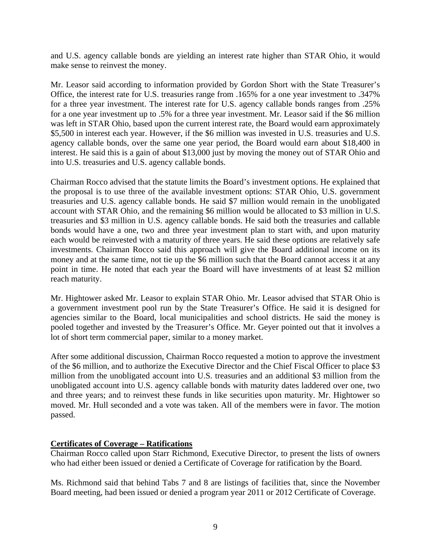and U.S. agency callable bonds are yielding an interest rate higher than STAR Ohio, it would make sense to reinvest the money.

Mr. Leasor said according to information provided by Gordon Short with the State Treasurer's Office, the interest rate for U.S. treasuries range from .165% for a one year investment to .347% for a three year investment. The interest rate for U.S. agency callable bonds ranges from .25% for a one year investment up to .5% for a three year investment. Mr. Leasor said if the \$6 million was left in STAR Ohio, based upon the current interest rate, the Board would earn approximately \$5,500 in interest each year. However, if the \$6 million was invested in U.S. treasuries and U.S. agency callable bonds, over the same one year period, the Board would earn about \$18,400 in interest. He said this is a gain of about \$13,000 just by moving the money out of STAR Ohio and into U.S. treasuries and U.S. agency callable bonds.

Chairman Rocco advised that the statute limits the Board's investment options. He explained that the proposal is to use three of the available investment options: STAR Ohio, U.S. government treasuries and U.S. agency callable bonds. He said \$7 million would remain in the unobligated account with STAR Ohio, and the remaining \$6 million would be allocated to \$3 million in U.S. treasuries and \$3 million in U.S. agency callable bonds. He said both the treasuries and callable bonds would have a one, two and three year investment plan to start with, and upon maturity each would be reinvested with a maturity of three years. He said these options are relatively safe investments. Chairman Rocco said this approach will give the Board additional income on its money and at the same time, not tie up the \$6 million such that the Board cannot access it at any point in time. He noted that each year the Board will have investments of at least \$2 million reach maturity.

Mr. Hightower asked Mr. Leasor to explain STAR Ohio. Mr. Leasor advised that STAR Ohio is a government investment pool run by the State Treasurer's Office. He said it is designed for agencies similar to the Board, local municipalities and school districts. He said the money is pooled together and invested by the Treasurer's Office. Mr. Geyer pointed out that it involves a lot of short term commercial paper, similar to a money market.

After some additional discussion, Chairman Rocco requested a motion to approve the investment of the \$6 million, and to authorize the Executive Director and the Chief Fiscal Officer to place \$3 million from the unobligated account into U.S. treasuries and an additional \$3 million from the unobligated account into U.S. agency callable bonds with maturity dates laddered over one, two and three years; and to reinvest these funds in like securities upon maturity. Mr. Hightower so moved. Mr. Hull seconded and a vote was taken. All of the members were in favor. The motion passed.

#### **Certificates of Coverage – Ratifications**

Chairman Rocco called upon Starr Richmond, Executive Director, to present the lists of owners who had either been issued or denied a Certificate of Coverage for ratification by the Board.

Ms. Richmond said that behind Tabs 7 and 8 are listings of facilities that, since the November Board meeting, had been issued or denied a program year 2011 or 2012 Certificate of Coverage.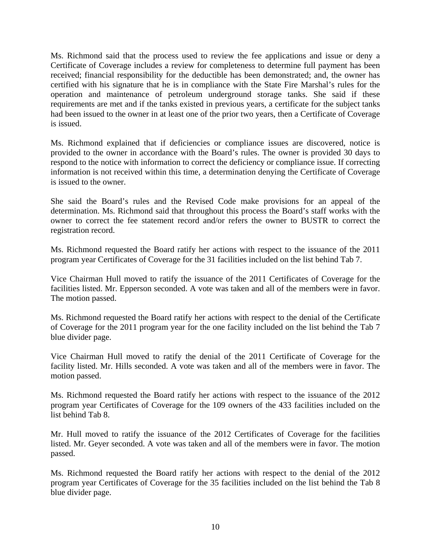Ms. Richmond said that the process used to review the fee applications and issue or deny a Certificate of Coverage includes a review for completeness to determine full payment has been received; financial responsibility for the deductible has been demonstrated; and, the owner has certified with his signature that he is in compliance with the State Fire Marshal's rules for the operation and maintenance of petroleum underground storage tanks. She said if these requirements are met and if the tanks existed in previous years, a certificate for the subject tanks had been issued to the owner in at least one of the prior two years, then a Certificate of Coverage is issued.

Ms. Richmond explained that if deficiencies or compliance issues are discovered, notice is provided to the owner in accordance with the Board's rules. The owner is provided 30 days to respond to the notice with information to correct the deficiency or compliance issue. If correcting information is not received within this time, a determination denying the Certificate of Coverage is issued to the owner.

She said the Board's rules and the Revised Code make provisions for an appeal of the determination. Ms. Richmond said that throughout this process the Board's staff works with the owner to correct the fee statement record and/or refers the owner to BUSTR to correct the registration record.

Ms. Richmond requested the Board ratify her actions with respect to the issuance of the 2011 program year Certificates of Coverage for the 31 facilities included on the list behind Tab 7.

Vice Chairman Hull moved to ratify the issuance of the 2011 Certificates of Coverage for the facilities listed. Mr. Epperson seconded. A vote was taken and all of the members were in favor. The motion passed.

Ms. Richmond requested the Board ratify her actions with respect to the denial of the Certificate of Coverage for the 2011 program year for the one facility included on the list behind the Tab 7 blue divider page.

Vice Chairman Hull moved to ratify the denial of the 2011 Certificate of Coverage for the facility listed. Mr. Hills seconded. A vote was taken and all of the members were in favor. The motion passed.

Ms. Richmond requested the Board ratify her actions with respect to the issuance of the 2012 program year Certificates of Coverage for the 109 owners of the 433 facilities included on the list behind Tab 8.

Mr. Hull moved to ratify the issuance of the 2012 Certificates of Coverage for the facilities listed. Mr. Geyer seconded. A vote was taken and all of the members were in favor. The motion passed.

Ms. Richmond requested the Board ratify her actions with respect to the denial of the 2012 program year Certificates of Coverage for the 35 facilities included on the list behind the Tab 8 blue divider page.